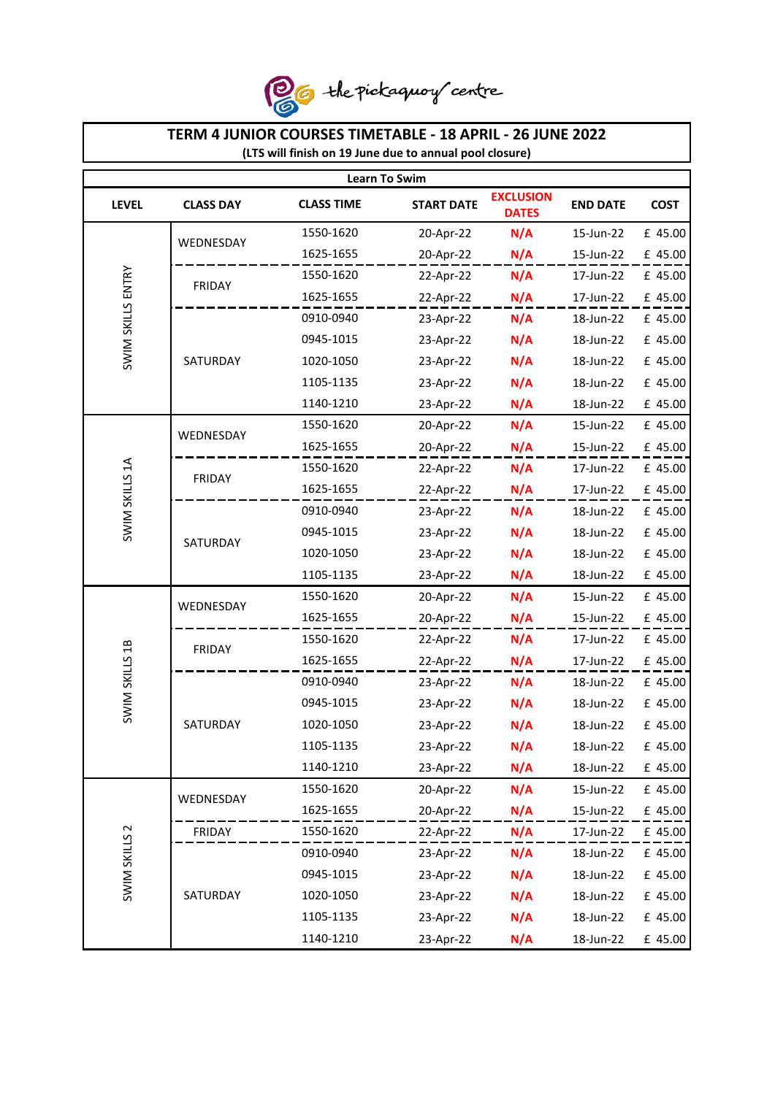

## **TERM 4 JUNIOR COURSES TIMETABLE - 18 APRIL - 26 JUNE 2022 (LTS will finish on 19 June due to annual pool closure) Learn To Swim EXCLUSION LEVEL CLASS DAY CLASS TIME START DATE CLASS TIME DATES END DATE COST**  1550-1620 20-Apr-22 **N/A** 15-Jun-22 £ 45.00 WEDNESDAY 20-Apr-22 **N/A** 15-Jun-22 £ 45.00 1625-1655 **SWIM SKILLS ENTRY** SWIM SKILLS ENTRY 1550-1620 22-Apr-22 **N/A** 17-Jun-22 £ 45.00 FRIDAY 1625-1655 22-Apr-22 **N/A** 17-Jun-22 £ 45.00 0910-0940 23-Apr-22 **N/A** 18-Jun-22 £ 45.00 0945-1015 23-Apr-22 **N/A** 18-Jun-22 £ 45.00 SATURDAY 1020-1050 23-Apr-22 **N/A** 18-Jun-22 £ 45.00 1105-1135 23-Apr-22 **N/A** 18-Jun-22 £ 45.00 1140-1210 23-Apr-22 **N/A** 18-Jun-22 £ 45.00 1550-1620 20-Apr-22 **N/A** 15-Jun-22 £ 45.00 WEDNESDAY 1625-1655 20-Apr-22 **N/A** 15-Jun-22 £ 45.00 **SWIM SKILLS 1A** SWIM SKILLS 1A 1550-1620 22-Apr-22 **N/A** 17-Jun-22 £ 45.00 FRIDAY 1625-1655 22-Apr-22 **N/A** 17-Jun-22 £ 45.00 0910-0940 23-Apr-22 **N/A** 18-Jun-22 £ 45.00 0945-1015 23-Apr-22 **N/A** 18-Jun-22 £ 45.00 SATURDAY 1020-1050 23-Apr-22 **N/A** 18-Jun-22 £ 45.00 1105-1135 23-Apr-22 **N/A** 18-Jun-22 £ 45.00 20-Apr-22 **N/A** 15-Jun-22 £ 45.00 1550-1620 WEDNESDAY 20-Apr-22 **N/A** 15-Jun-22 £ 45.00 1625-1655 1550-1620 22-Apr-22 **N/A** 17-Jun-22 £ 45.00 **SWIM SKILLS 1B** SWIM SKILLS 1B FRIDAY 1625-1655 22-Apr-22 **N/A** 17-Jun-22 £ 45.00 0910-0940 23-Apr-22 **N/A** 18-Jun-22 £ 45.00 0945-1015 23-Apr-22 **N/A** 18-Jun-22 £ 45.00 **SATURDAY** 1020-1050 23-Apr-22 **N/A** 18-Jun-22 £ 45.00 1105-1135 23-Apr-22 **N/A** 18-Jun-22 £ 45.00 1140-1210 23-Apr-22 **N/A** 18-Jun-22 £ 45.00 1550-1620 20-Apr-22 **N/A** 15-Jun-22 £ 45.00 WEDNESDAY1625-1655 20-Apr-22 **N/A** 15-Jun-22 £ 45.00 **SWIM SKILLS 2** FRIDAY 22-Apr-22 **N/A** 17-Jun-22 £ 45.00 1550-1620 SWIM SKILLS 2 0910-0940 23-Apr-22 **N/A** 18-Jun-22 £ 45.00 0945-1015 23-Apr-22 **N/A** 18-Jun-22 £ 45.00 **SATURDAY** 1020-1050 23-Apr-22 **N/A** 18-Jun-22 £ 45.00 1105-1135 23-Apr-22 **N/A** 18-Jun-22 £ 45.00 1140-1210 23-Apr-22 **N/A** 18-Jun-22 £ 45.00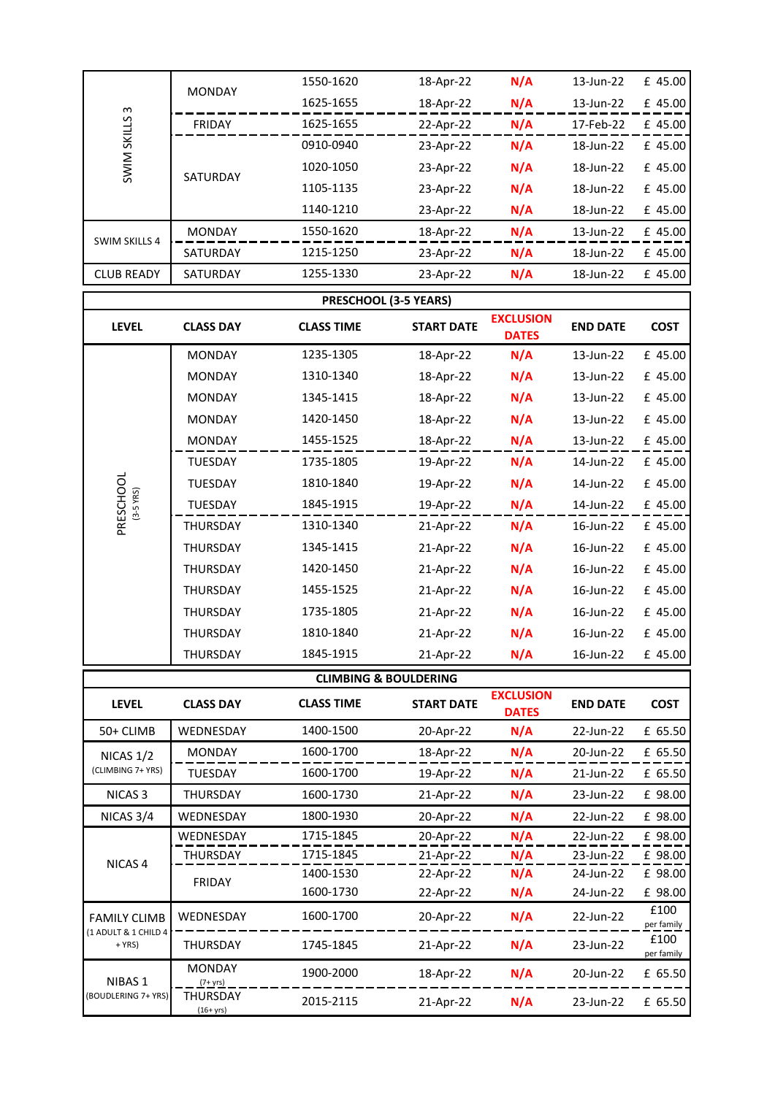| ന<br>SKILLS<br>SWIM  | <b>MONDAY</b>   | 1550-1620 | 18-Apr-22 | N/A | 13-Jun-22 | £ 45.00 |
|----------------------|-----------------|-----------|-----------|-----|-----------|---------|
|                      |                 | 1625-1655 | 18-Apr-22 | N/A | 13-Jun-22 | £ 45.00 |
|                      | FRIDAY          | 1625-1655 | 22-Apr-22 | N/A | 17-Feb-22 | £ 45.00 |
|                      | <b>SATURDAY</b> | 0910-0940 | 23-Apr-22 | N/A | 18-Jun-22 | £ 45.00 |
|                      |                 | 1020-1050 | 23-Apr-22 | N/A | 18-Jun-22 | £ 45.00 |
|                      |                 | 1105-1135 | 23-Apr-22 | N/A | 18-Jun-22 | £ 45.00 |
|                      |                 | 1140-1210 | 23-Apr-22 | N/A | 18-Jun-22 | £ 45.00 |
| <b>SWIM SKILLS 4</b> | <b>MONDAY</b>   | 1550-1620 | 18-Apr-22 | N/A | 13-Jun-22 | £ 45.00 |
|                      | <b>SATURDAY</b> | 1215-1250 | 23-Apr-22 | N/A | 18-Jun-22 | £ 45.00 |
| <b>CLUB READY</b>    | <b>SATURDAY</b> | 1255-1330 | 23-Apr-22 | N/A | 18-Jun-22 | £ 45.00 |

 $\mathbf{r}$ 

| PRESCHOOL (3-5 YEARS)  |                  |                                  |                   |                                  |                 |             |  |  |
|------------------------|------------------|----------------------------------|-------------------|----------------------------------|-----------------|-------------|--|--|
| <b>LEVEL</b>           | <b>CLASS DAY</b> | <b>CLASS TIME</b>                | <b>START DATE</b> | <b>EXCLUSION</b><br><b>DATES</b> | <b>END DATE</b> | <b>COST</b> |  |  |
|                        | <b>MONDAY</b>    | 1235-1305                        | 18-Apr-22         | N/A                              | 13-Jun-22       | £ 45.00     |  |  |
|                        | <b>MONDAY</b>    | 1310-1340                        | 18-Apr-22         | N/A                              | 13-Jun-22       | £ 45.00     |  |  |
|                        | <b>MONDAY</b>    | 1345-1415                        | 18-Apr-22         | N/A                              | 13-Jun-22       | £ 45.00     |  |  |
|                        | <b>MONDAY</b>    | 1420-1450                        | 18-Apr-22         | N/A                              | 13-Jun-22       | £ 45.00     |  |  |
|                        | <b>MONDAY</b>    | 1455-1525                        | 18-Apr-22         | N/A                              | 13-Jun-22       | £ 45.00     |  |  |
|                        | <b>TUESDAY</b>   | 1735-1805                        | 19-Apr-22         | N/A                              | 14-Jun-22       | £ 45.00     |  |  |
|                        | <b>TUESDAY</b>   | 1810-1840                        | 19-Apr-22         | N/A                              | 14-Jun-22       | £ 45.00     |  |  |
| PRESCHOOL<br>(3-5 YRS) | <b>TUESDAY</b>   | 1845-1915                        | 19-Apr-22         | N/A                              | 14-Jun-22       | £ 45.00     |  |  |
|                        | <b>THURSDAY</b>  | 1310-1340                        | 21-Apr-22         | N/A                              | 16-Jun-22       | £ 45.00     |  |  |
|                        | <b>THURSDAY</b>  | 1345-1415                        | 21-Apr-22         | N/A                              | 16-Jun-22       | £ 45.00     |  |  |
|                        | <b>THURSDAY</b>  | 1420-1450                        | 21-Apr-22         | N/A                              | 16-Jun-22       | £ 45.00     |  |  |
|                        | <b>THURSDAY</b>  | 1455-1525                        | 21-Apr-22         | N/A                              | 16-Jun-22       | £ 45.00     |  |  |
|                        | <b>THURSDAY</b>  | 1735-1805                        | 21-Apr-22         | N/A                              | 16-Jun-22       | £ 45.00     |  |  |
|                        | <b>THURSDAY</b>  | 1810-1840                        | 21-Apr-22         | N/A                              | 16-Jun-22       | £ 45.00     |  |  |
|                        | <b>THURSDAY</b>  | 1845-1915                        | 21-Apr-22         | N/A                              | 16-Jun-22       | £ 45.00     |  |  |
|                        |                  | <b>CLIMBING &amp; BOULDERING</b> |                   |                                  |                 |             |  |  |
| <b>LEVEL</b>           | <b>CLASS DAY</b> | <b>CLASS TIME</b>                | <b>START DATE</b> | <b>EXCLUSION</b><br><b>DATES</b> | <b>END DATE</b> | <b>COST</b> |  |  |
| 50+ CLIMB              | WEDNESDAY        | 1400-1500                        | 20-Apr-22         | N/A                              | 22-Jun-22       | £ 65.50     |  |  |
| NICAS $1/2$            | <b>MONDAY</b>    | 1600-1700                        | 18-Apr-22         | N/A                              | 20-Jun-22       | £ 65.50     |  |  |
| (CLIMBING 7+ YRS)      | <b>TUESDAY</b>   | 1600-1700                        | 19-Apr-22         | N/A                              | 21-Jun-22       | £ 65.50     |  |  |
| NICAS <sub>3</sub>     | <b>THURSDAY</b>  | 1600-1730                        | 21-Apr-22         | N/A                              | 23-Jun-22       | £ 98.00     |  |  |
| NICAS 3/4              | WEDNESDAY        | 1800-1930                        | 20-Apr-22         | N/A                              | 22-Jun-22       | £ 98.00     |  |  |

| NICAS <sub>3</sub>                        | THURSDAY                     | 1600-1730 | 21-Apr-22 | N/A | 23-Jun-22 | £ 98.00            |
|-------------------------------------------|------------------------------|-----------|-----------|-----|-----------|--------------------|
| NICAS 3/4                                 | WEDNESDAY                    | 1800-1930 | 20-Apr-22 | N/A | 22-Jun-22 | £ 98.00            |
| NICAS <sub>4</sub>                        | WEDNESDAY                    | 1715-1845 | 20-Apr-22 | N/A | 22-Jun-22 | £ 98.00            |
|                                           | THURSDAY                     | 1715-1845 | 21-Apr-22 | N/A | 23-Jun-22 | £ 98.00            |
|                                           | FRIDAY                       | 1400-1530 | 22-Apr-22 | N/A | 24-Jun-22 | £ 98.00            |
|                                           |                              | 1600-1730 | 22-Apr-22 | N/A | 24-Jun-22 | £ 98.00            |
| <b>FAMILY CLIMB</b>                       | WEDNESDAY                    | 1600-1700 | 20-Apr-22 | N/A | 22-Jun-22 | £100<br>per family |
| (1 ADULT & 1 CHILD 4<br>$+ YRS$           | THURSDAY                     | 1745-1845 | 21-Apr-22 | N/A | 23-Jun-22 | £100<br>per family |
| NIBAS <sub>1</sub><br>(BOUDLERING 7+ YRS) | <b>MONDAY</b><br>$(7 + yrs)$ | 1900-2000 | 18-Apr-22 | N/A | 20-Jun-22 | £ 65.50            |
|                                           | THURSDAY<br>$(16 + yrs)$     | 2015-2115 | 21-Apr-22 | N/A | 23-Jun-22 | £ 65.50            |